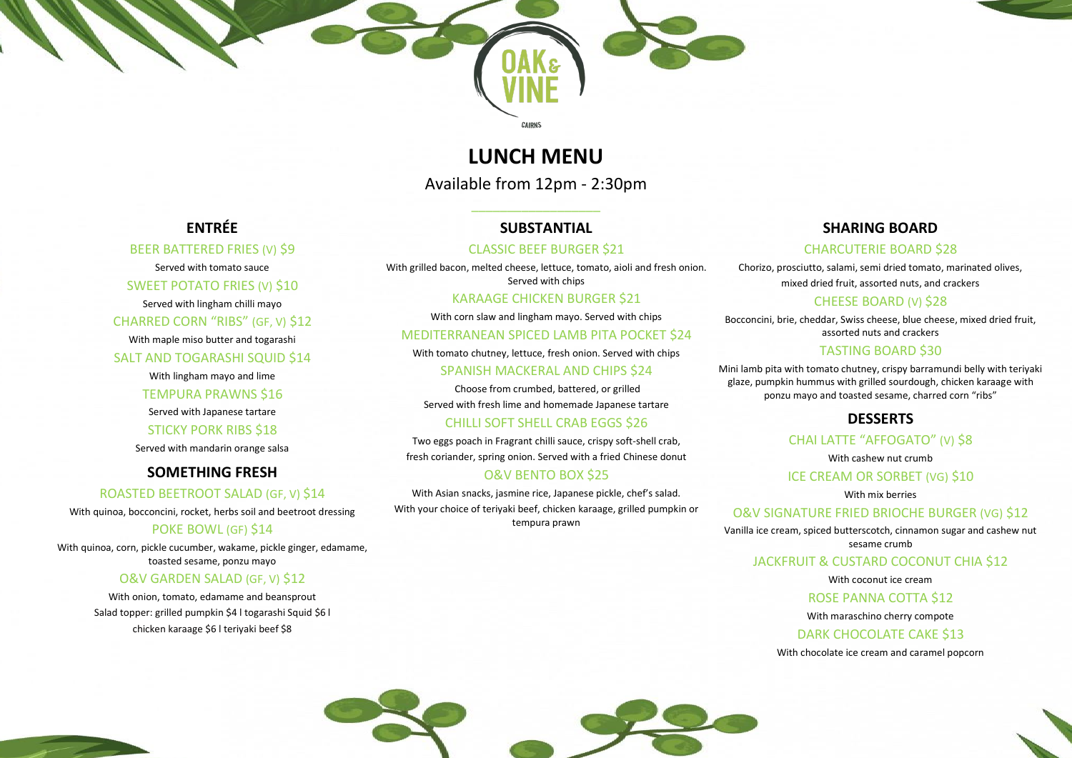## **LUNCH MENU**

CAIRNS

Available from 12pm - 2:30pm

 $\overline{\phantom{a}}$  , and the set of the set of the set of the set of the set of the set of the set of the set of the set of the set of the set of the set of the set of the set of the set of the set of the set of the set of the s

**ENTRÉE** 

BEER BATTERED FRIES (V) \$9

Served with tomato sauce

SWEET POTATO FRIES (V) \$10 Served with lingham chilli mayo

CHARRED CORN "RIBS" (GF, V) \$12 With maple miso butter and togarashi

SALT AND TOGARASHI SQUID \$14 With lingham mayo and lime

### POKE BOWL (GF) \$14 With quinoa, corn, pickle cucumber, wakame, pickle ginger, edamame,

TEMPURA PRAWNS \$16 Served with Japanese tartare STICKY PORK RIBS \$18

Served with mandarin orange salsa

**SOMETHING FRESH**

ROASTED BEETROOT SALAD (GF, V) \$14 With quinoa, bocconcini, rocket, herbs soil and beetroot dressing

toasted sesame, ponzu mayo

## O&V GARDEN SALAD (GF, V) \$12

With onion, tomato, edamame and beansprout Salad topper: grilled pumpkin \$4 l togarashi Squid \$6 l chicken karaage \$6 l teriyaki beef \$8



### **SUBSTANTIAL**

### CLASSIC BEEF BURGER \$21

With grilled bacon, melted cheese, lettuce, tomato, aioli and fresh onion. Served with chips

## KARAAGE CHICKEN BURGER \$21

With corn slaw and lingham mayo. Served with chips

### MEDITERRANEAN SPICED LAMB PITA POCKET \$24

With tomato chutney, lettuce, fresh onion. Served with chips

### SPANISH MACKERAL AND CHIPS \$24

Choose from crumbed, battered, or grilled Served with fresh lime and homemade Japanese tartare

## CHILLI SOFT SHELL CRAB EGGS \$26

Two eggs poach in Fragrant chilli sauce, crispy soft-shell crab,

fresh coriander, spring onion. Served with a fried Chinese donut

### O&V BENTO BOX \$25

With Asian snacks, jasmine rice, Japanese pickle, chef's salad. With your choice of teriyaki beef, chicken karaage, grilled pumpkin or tempura prawn

## JACKFRUIT & CUSTARD COCONUT CHIA \$12

## **SHARING BOARD**

# CHARCUTERIE BOARD \$28

Chorizo, prosciutto, salami, semi dried tomato, marinated olives, mixed dried fruit, assorted nuts, and crackers

### CHEESE BOARD (V) \$28

Bocconcini, brie, cheddar, Swiss cheese, blue cheese, mixed dried fruit, assorted nuts and crackers

### TASTING BOARD \$30

Mini lamb pita with tomato chutney, crispy barramundi belly with teriyaki glaze, pumpkin hummus with grilled sourdough, chicken karaage with ponzu mayo and toasted sesame, charred corn "ribs"

## **DESSERTS**

## CHAI LATTE "AFFOGATO" (V) \$8

With cashew nut crumb

### ICE CREAM OR SORBET (VG) \$10

With mix berries

### O&V SIGNATURE FRIED BRIOCHE BURGER (VG) \$12

Vanilla ice cream, spiced butterscotch, cinnamon sugar and cashew nut sesame crumb

With coconut ice cream

### ROSE PANNA COTTA \$12

With maraschino cherry compote

### DARK CHOCOLATE CAKE \$13

### With chocolate ice cream and caramel popcorn